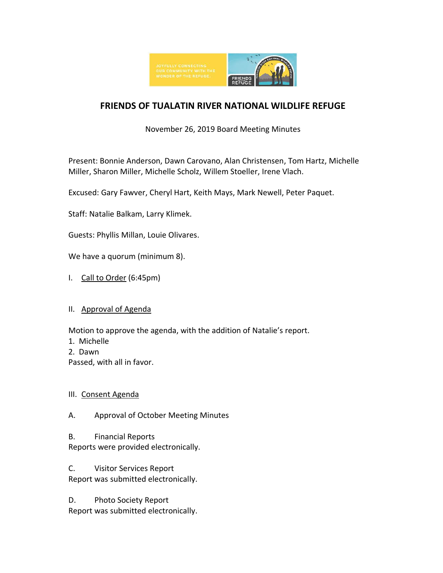

# **FRIENDS OF TUALATIN RIVER NATIONAL WILDLIFE REFUGE**

## November 26, 2019 Board Meeting Minutes

Present: Bonnie Anderson, Dawn Carovano, Alan Christensen, Tom Hartz, Michelle Miller, Sharon Miller, Michelle Scholz, Willem Stoeller, Irene Vlach.

Excused: Gary Fawver, Cheryl Hart, Keith Mays, Mark Newell, Peter Paquet.

Staff: Natalie Balkam, Larry Klimek.

Guests: Phyllis Millan, Louie Olivares.

We have a quorum (minimum 8).

I. Call to Order (6:45pm)

## II. Approval of Agenda

Motion to approve the agenda, with the addition of Natalie's report.

- 1. Michelle
- 2. Dawn

Passed, with all in favor.

## III. Consent Agenda

A. Approval of October Meeting Minutes

B. Financial Reports Reports were provided electronically.

C. Visitor Services Report Report was submitted electronically.

D. Photo Society Report Report was submitted electronically.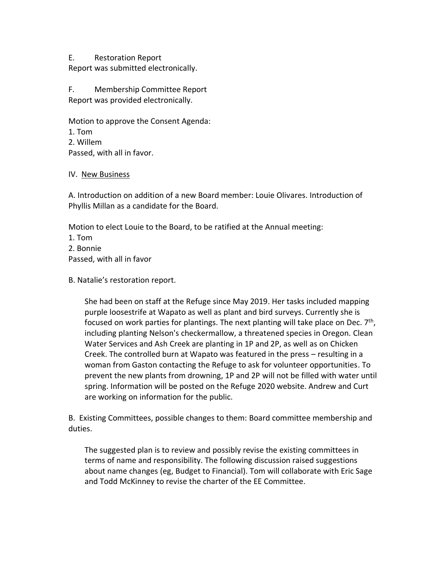### E. Restoration Report

Report was submitted electronically.

F. Membership Committee Report Report was provided electronically.

Motion to approve the Consent Agenda:

1. Tom 2. Willem Passed, with all in favor.

#### IV. New Business

A. Introduction on addition of a new Board member: Louie Olivares. Introduction of Phyllis Millan as a candidate for the Board.

Motion to elect Louie to the Board, to be ratified at the Annual meeting:

1. Tom 2. Bonnie Passed, with all in favor

B. Natalie's restoration report.

She had been on staff at the Refuge since May 2019. Her tasks included mapping purple loosestrife at Wapato as well as plant and bird surveys. Currently she is focused on work parties for plantings. The next planting will take place on Dec. 7<sup>th</sup>, including planting Nelson's checkermallow, a threatened species in Oregon. Clean Water Services and Ash Creek are planting in 1P and 2P, as well as on Chicken Creek. The controlled burn at Wapato was featured in the press – resulting in a woman from Gaston contacting the Refuge to ask for volunteer opportunities. To prevent the new plants from drowning, 1P and 2P will not be filled with water until spring. Information will be posted on the Refuge 2020 website. Andrew and Curt are working on information for the public.

B. Existing Committees, possible changes to them: Board committee membership and duties.

The suggested plan is to review and possibly revise the existing committees in terms of name and responsibility. The following discussion raised suggestions about name changes (eg, Budget to Financial). Tom will collaborate with Eric Sage and Todd McKinney to revise the charter of the EE Committee.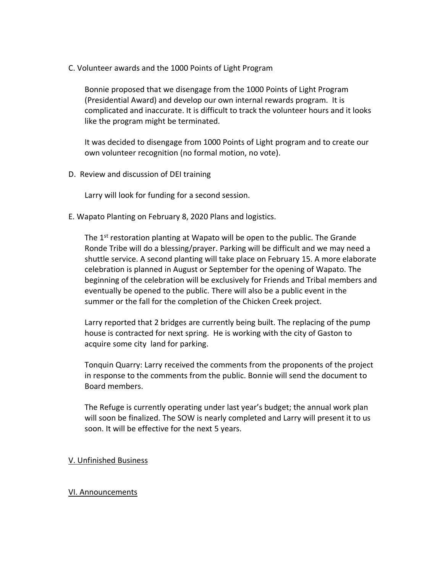C. Volunteer awards and the 1000 Points of Light Program

Bonnie proposed that we disengage from the 1000 Points of Light Program (Presidential Award) and develop our own internal rewards program. It is complicated and inaccurate. It is difficult to track the volunteer hours and it looks like the program might be terminated.

It was decided to disengage from 1000 Points of Light program and to create our own volunteer recognition (no formal motion, no vote).

D. Review and discussion of DEI training

Larry will look for funding for a second session.

E. Wapato Planting on February 8, 2020 Plans and logistics.

The  $1<sup>st</sup>$  restoration planting at Wapato will be open to the public. The Grande Ronde Tribe will do a blessing/prayer. Parking will be difficult and we may need a shuttle service. A second planting will take place on February 15. A more elaborate celebration is planned in August or September for the opening of Wapato. The beginning of the celebration will be exclusively for Friends and Tribal members and eventually be opened to the public. There will also be a public event in the summer or the fall for the completion of the Chicken Creek project.

Larry reported that 2 bridges are currently being built. The replacing of the pump house is contracted for next spring. He is working with the city of Gaston to acquire some city land for parking.

Tonquin Quarry: Larry received the comments from the proponents of the project in response to the comments from the public. Bonnie will send the document to Board members.

The Refuge is currently operating under last year's budget; the annual work plan will soon be finalized. The SOW is nearly completed and Larry will present it to us soon. It will be effective for the next 5 years.

V. Unfinished Business

## VI. Announcements